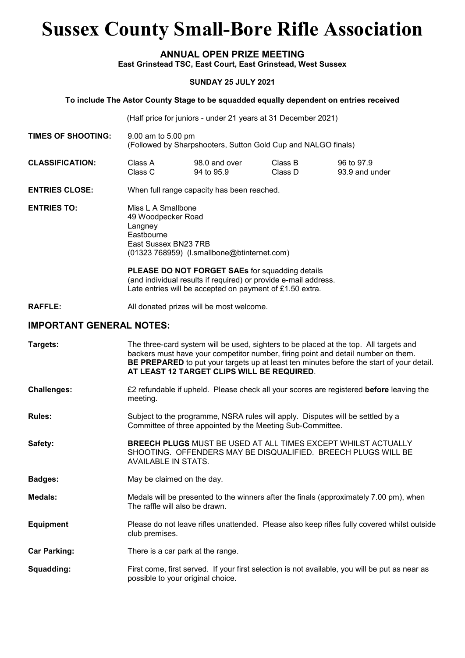# Sussex County Small-Bore Rifle Association

#### ANNUAL OPEN PRIZE MEETING East Grinstead TSC, East Court, East Grinstead, West Sussex

#### SUNDAY 25 JULY 2021

#### To include The Astor County Stage to be squadded equally dependent on entries received

(Half price for juniors - under 21 years at 31 December 2021)

- TIMES OF SHOOTING: 9.00 am to 5.00 pm (Followed by Sharpshooters, Sutton Gold Cup and NALGO finals)
- CLASSIFICATION: Class A 98.0 and over Class B 96 to 97.9 Class C 94 to 95.9 Class D 93.9 and under
- ENTRIES CLOSE: When full range capacity has been reached.

ENTRIES TO: Miss L A Smallbone 49 Woodpecker Road Langney **Eastbourne**  East Sussex BN23 7RB (01323 768959) (l.smallbone@btinternet.com)

> PLEASE DO NOT FORGET SAEs for squadding details (and individual results if required) or provide e-mail address. Late entries will be accepted on payment of £1.50 extra.

RAFFLE: All donated prizes will be most welcome.

#### IMPORTANT GENERAL NOTES:

| Targets:            | The three-card system will be used, sighters to be placed at the top. All targets and<br>backers must have your competitor number, firing point and detail number on them.<br>BE PREPARED to put your targets up at least ten minutes before the start of your detail.<br>AT LEAST 12 TARGET CLIPS WILL BE REQUIRED. |
|---------------------|----------------------------------------------------------------------------------------------------------------------------------------------------------------------------------------------------------------------------------------------------------------------------------------------------------------------|
| <b>Challenges:</b>  | £2 refundable if upheld. Please check all your scores are registered <b>before</b> leaving the<br>meeting.                                                                                                                                                                                                           |
| <b>Rules:</b>       | Subject to the programme, NSRA rules will apply. Disputes will be settled by a<br>Committee of three appointed by the Meeting Sub-Committee.                                                                                                                                                                         |
| Safety:             | <b>BREECH PLUGS MUST BE USED AT ALL TIMES EXCEPT WHILST ACTUALLY</b><br>SHOOTING. OFFENDERS MAY BE DISQUALIFIED. BREECH PLUGS WILL BE<br>AVAILABLE IN STATS.                                                                                                                                                         |
| <b>Badges:</b>      | May be claimed on the day.                                                                                                                                                                                                                                                                                           |
| Medals:             | Medals will be presented to the winners after the finals (approximately 7.00 pm), when<br>The raffle will also be drawn.                                                                                                                                                                                             |
| <b>Equipment</b>    | Please do not leave rifles unattended. Please also keep rifles fully covered whilst outside<br>club premises.                                                                                                                                                                                                        |
| <b>Car Parking:</b> | There is a car park at the range.                                                                                                                                                                                                                                                                                    |
| Squadding:          | First come, first served. If your first selection is not available, you will be put as near as<br>possible to your original choice.                                                                                                                                                                                  |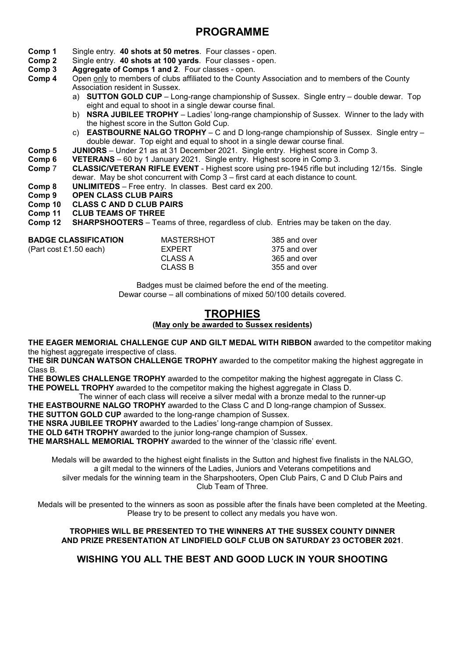# PROGRAMME

- Comp 1 Single entry. 40 shots at 50 metres. Four classes open.
- Comp 2 Single entry. 40 shots at 100 yards. Four classes open.
- Comp 3 Aggregate of Comps 1 and 2. Four classes open.
- Comp 4 Open only to members of clubs affiliated to the County Association and to members of the County Association resident in Sussex.
	- a) **SUTTON GOLD CUP** Long-range championship of Sussex. Single entry double dewar. Top eight and equal to shoot in a single dewar course final.
	- b) **NSRA JUBILEE TROPHY** Ladies' long-range championship of Sussex. Winner to the lady with the highest score in the Sutton Gold Cup.
	- c) **EASTBOURNE NALGO TROPHY** C and D long-range championship of Sussex. Single entry double dewar. Top eight and equal to shoot in a single dewar course final.
- Comp 5 JUNIORS Under 21 as at 31 December 2021. Single entry. Highest score in Comp 3.
- Comp 6 VETERANS 60 by 1 January 2021. Single entry. Highest score in Comp 3.
- Comp 7 CLASSIC/VETERAN RIFLE EVENT Highest score using pre-1945 rifle but including 12/15s. Single dewar. May be shot concurrent with Comp 3 – first card at each distance to count.
- Comp 8 UNLIMITEDS Free entry. In classes. Best card ex 200.
- Comp 9 OPEN CLASS CLUB PAIRS
- Comp 10 CLASS C AND D CLUB PAIRS
- Comp 11 CLUB TEAMS OF THREE
- Comp 12 SHARPSHOOTERS Teams of three, regardless of club. Entries may be taken on the day.

| <b>BADGE CLASSIFICATION</b> | <b>MASTERSHOT</b> | 385 and over |
|-----------------------------|-------------------|--------------|
| (Part cost £1.50 each)      | EXPERT            | 375 and over |
|                             | CLASS A           | 365 and over |
|                             | CLASS B           | 355 and over |
|                             |                   |              |

Badges must be claimed before the end of the meeting. Dewar course – all combinations of mixed 50/100 details covered.

# **TROPHIES**

#### (May only be awarded to Sussex residents)

THE EAGER MEMORIAL CHALLENGE CUP AND GILT MEDAL WITH RIBBON awarded to the competitor making the highest aggregate irrespective of class.

THE SIR DUNCAN WATSON CHALLENGE TROPHY awarded to the competitor making the highest aggregate in Class B.

THE BOWLES CHALLENGE TROPHY awarded to the competitor making the highest aggregate in Class C. THE POWELL TROPHY awarded to the competitor making the highest aggregate in Class D.

- The winner of each class will receive a silver medal with a bronze medal to the runner-up
- THE EASTBOURNE NALGO TROPHY awarded to the Class C and D long-range champion of Sussex.

THE SUTTON GOLD CUP awarded to the long-range champion of Sussex.

THE NSRA JUBILEE TROPHY awarded to the Ladies' long-range champion of Sussex.

THE OLD 64TH TROPHY awarded to the junior long-range champion of Sussex.

THE MARSHALL MEMORIAL TROPHY awarded to the winner of the 'classic rifle' event.

Medals will be awarded to the highest eight finalists in the Sutton and highest five finalists in the NALGO, a gilt medal to the winners of the Ladies, Juniors and Veterans competitions and

silver medals for the winning team in the Sharpshooters, Open Club Pairs, C and D Club Pairs and Club Team of Three.

Medals will be presented to the winners as soon as possible after the finals have been completed at the Meeting. Please try to be present to collect any medals you have won.

#### TROPHIES WILL BE PRESENTED TO THE WINNERS AT THE SUSSEX COUNTY DINNER AND PRIZE PRESENTATION AT LINDFIELD GOLF CLUB ON SATURDAY 23 OCTOBER 2021.

#### WISHING YOU ALL THE BEST AND GOOD LUCK IN YOUR SHOOTING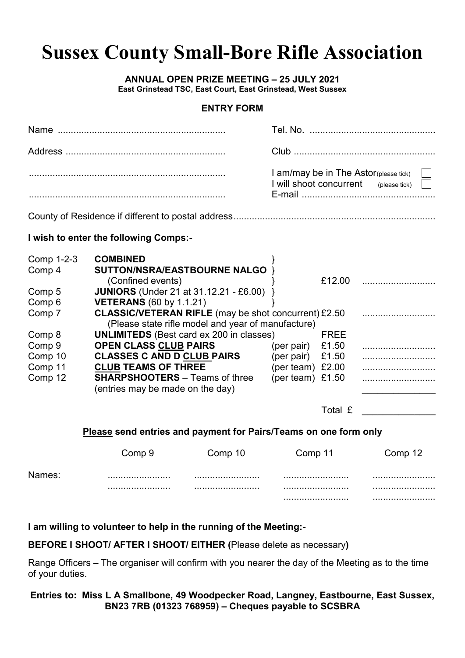# **Sussex County Small-Bore Rifle Association**

#### **ANNUAL OPEN PRIZE MEETING - 25 JULY 2021**

East Grinstead TSC, East Court, East Grinstead, West Sussex

#### **FNTRY FORM**

| I am/may be in The Astor(please tick)<br>I will shoot concurrent (please tick) |
|--------------------------------------------------------------------------------|
|                                                                                |

#### I wish to enter the following Comps:-

| Comp 1-2-3 | <b>COMBINED</b>                                             |                    |             |  |
|------------|-------------------------------------------------------------|--------------------|-------------|--|
| Comp 4     | SUTTON/NSRA/EASTBOURNE NALGO                                |                    |             |  |
|            | (Confined events)                                           |                    | £12.00      |  |
| Comp 5     | <b>JUNIORS</b> (Under 21 at 31.12.21 - £6.00)               |                    |             |  |
| Comp 6     | <b>VETERANS</b> (60 by 1.1.21)                              |                    |             |  |
| Comp 7     | <b>CLASSIC/VETERAN RIFLE</b> (may be shot concurrent) £2.50 |                    |             |  |
|            | (Please state rifle model and year of manufacture)          |                    |             |  |
| Comp 8     | <b>UNLIMITEDS</b> (Best card ex 200 in classes)             |                    | <b>FREE</b> |  |
| Comp 9     | <b>OPEN CLASS CLUB PAIRS</b>                                | (per pair)         | £1.50       |  |
| Comp 10    | <b>CLASSES C AND D CLUB PAIRS</b>                           | (per pair)         | £1.50       |  |
| Comp 11    | <b>CLUB TEAMS OF THREE</b>                                  | (per team)         | £2.00       |  |
| Comp 12    | <b>SHARPSHOOTERS</b> – Teams of three                       | (per team) $£1.50$ |             |  |
|            | (entries may be made on the day)                            |                    |             |  |
|            |                                                             |                    |             |  |

Total £

#### Please send entries and payment for Pairs/Teams on one form only

|        | Comp 9 | Comp 10 | Comp 11 | Comp 12 |
|--------|--------|---------|---------|---------|
| Names: |        |         |         |         |
|        |        |         |         |         |
|        |        |         |         |         |

#### I am willing to volunteer to help in the running of the Meeting:-

#### BEFORE I SHOOT/ AFTER I SHOOT/ EITHER (Please delete as necessary)

Range Officers - The organiser will confirm with you nearer the day of the Meeting as to the time of your duties.

#### Entries to: Miss L A Smallbone, 49 Woodpecker Road, Langney, Eastbourne, East Sussex, BN23 7RB (01323 768959) - Cheques payable to SCSBRA